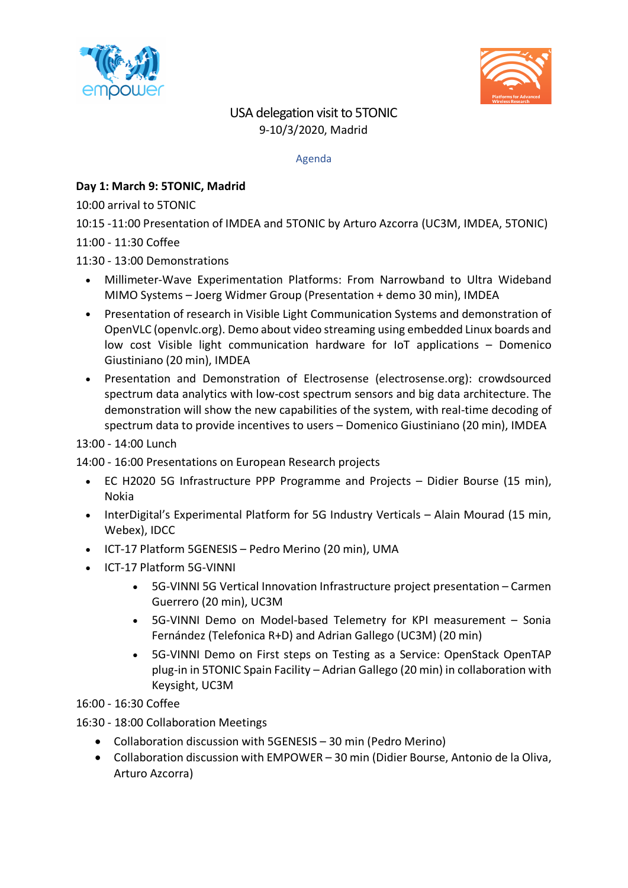



# USA delegation visit to 5TONIC 9-10/3/2020, Madrid

#### Agenda

## **Day 1: March 9: 5TONIC, Madrid**

10:00 arrival to 5TONIC

10:15 -11:00 Presentation of IMDEA and 5TONIC by Arturo Azcorra (UC3M, IMDEA, 5TONIC)

11:00 - 11:30 Coffee

### 11:30 - 13:00 Demonstrations

- Millimeter-Wave Experimentation Platforms: From Narrowband to Ultra Wideband MIMO Systems – Joerg Widmer Group (Presentation + demo 30 min), IMDEA
- Presentation of research in Visible Light Communication Systems and demonstration of OpenVLC (openvlc.org). Demo about video streaming using embedded Linux boards and low cost Visible light communication hardware for IoT applications – Domenico Giustiniano (20 min), IMDEA
- Presentation and Demonstration of Electrosense (electrosense.org): crowdsourced spectrum data analytics with low-cost spectrum sensors and big data architecture. The demonstration will show the new capabilities of the system, with real-time decoding of spectrum data to provide incentives to users – Domenico Giustiniano (20 min), IMDEA

#### 13:00 - 14:00 Lunch

14:00 - 16:00 Presentations on European Research projects

- EC H2020 5G Infrastructure PPP Programme and Projects Didier Bourse (15 min), Nokia
- InterDigital's Experimental Platform for 5G Industry Verticals Alain Mourad (15 min, Webex), IDCC
- ICT-17 Platform 5GENESIS Pedro Merino (20 min), UMA
- ICT-17 Platform 5G-VINNI
	- 5G-VINNI 5G Vertical Innovation Infrastructure project presentation Carmen Guerrero (20 min), UC3M
	- 5G-VINNI Demo on Model-based Telemetry for KPI measurement Sonia Fernández (Telefonica R+D) and Adrian Gallego (UC3M) (20 min)
	- 5G-VINNI Demo on First steps on Testing as a Service: OpenStack OpenTAP plug-in in 5TONIC Spain Facility – Adrian Gallego (20 min) in collaboration with Keysight, UC3M
- 16:00 16:30 Coffee
- 16:30 18:00 Collaboration Meetings
	- Collaboration discussion with 5GENESIS 30 min (Pedro Merino)
	- Collaboration discussion with EMPOWER 30 min (Didier Bourse, Antonio de la Oliva, Arturo Azcorra)